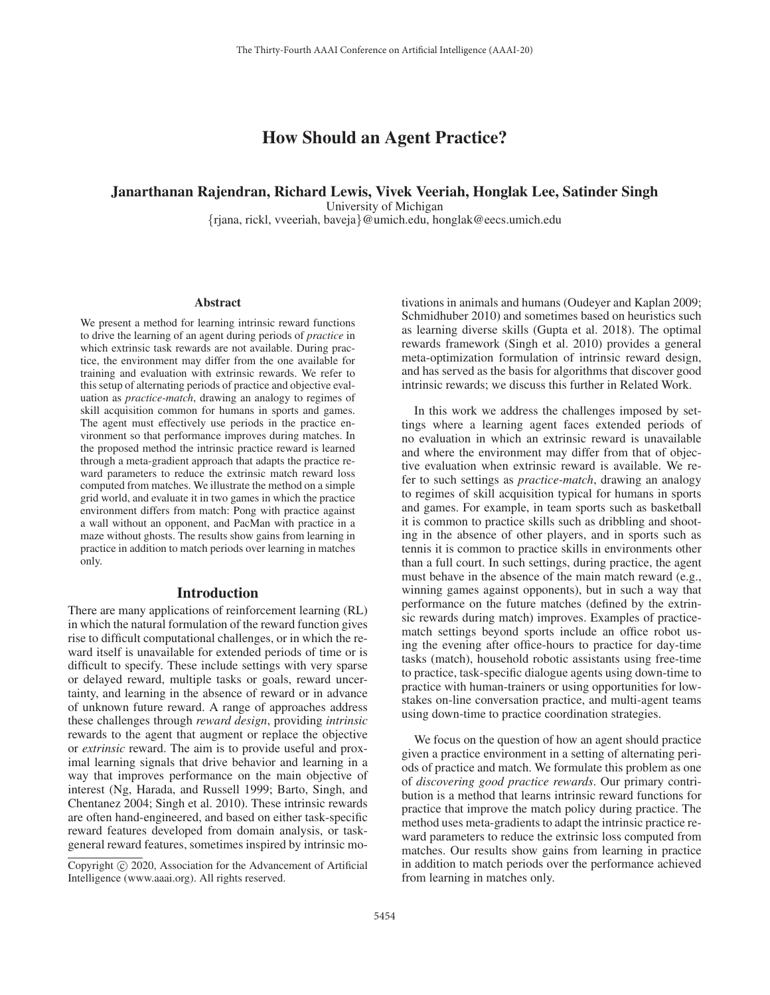# How Should an Agent Practice?

### Janarthanan Rajendran, Richard Lewis, Vivek Veeriah, Honglak Lee, Satinder Singh

University of Michigan

{rjana, rickl, vveeriah, baveja}@umich.edu, honglak@eecs.umich.edu

#### Abstract

We present a method for learning intrinsic reward functions to drive the learning of an agent during periods of *practice* in which extrinsic task rewards are not available. During practice, the environment may differ from the one available for training and evaluation with extrinsic rewards. We refer to this setup of alternating periods of practice and objective evaluation as *practice-match*, drawing an analogy to regimes of skill acquisition common for humans in sports and games. The agent must effectively use periods in the practice environment so that performance improves during matches. In the proposed method the intrinsic practice reward is learned through a meta-gradient approach that adapts the practice reward parameters to reduce the extrinsic match reward loss computed from matches. We illustrate the method on a simple grid world, and evaluate it in two games in which the practice environment differs from match: Pong with practice against a wall without an opponent, and PacMan with practice in a maze without ghosts. The results show gains from learning in practice in addition to match periods over learning in matches only.

#### Introduction

There are many applications of reinforcement learning (RL) in which the natural formulation of the reward function gives rise to difficult computational challenges, or in which the reward itself is unavailable for extended periods of time or is difficult to specify. These include settings with very sparse or delayed reward, multiple tasks or goals, reward uncertainty, and learning in the absence of reward or in advance of unknown future reward. A range of approaches address these challenges through *reward design*, providing *intrinsic* rewards to the agent that augment or replace the objective or *extrinsic* reward. The aim is to provide useful and proximal learning signals that drive behavior and learning in a way that improves performance on the main objective of interest (Ng, Harada, and Russell 1999; Barto, Singh, and Chentanez 2004; Singh et al. 2010). These intrinsic rewards are often hand-engineered, and based on either task-specific reward features developed from domain analysis, or taskgeneral reward features, sometimes inspired by intrinsic mo-

tivations in animals and humans (Oudeyer and Kaplan 2009; Schmidhuber 2010) and sometimes based on heuristics such as learning diverse skills (Gupta et al. 2018). The optimal rewards framework (Singh et al. 2010) provides a general meta-optimization formulation of intrinsic reward design, and has served as the basis for algorithms that discover good intrinsic rewards; we discuss this further in Related Work.

In this work we address the challenges imposed by settings where a learning agent faces extended periods of no evaluation in which an extrinsic reward is unavailable and where the environment may differ from that of objective evaluation when extrinsic reward is available. We refer to such settings as *practice-match*, drawing an analogy to regimes of skill acquisition typical for humans in sports and games. For example, in team sports such as basketball it is common to practice skills such as dribbling and shooting in the absence of other players, and in sports such as tennis it is common to practice skills in environments other than a full court. In such settings, during practice, the agent must behave in the absence of the main match reward (e.g., winning games against opponents), but in such a way that performance on the future matches (defined by the extrinsic rewards during match) improves. Examples of practicematch settings beyond sports include an office robot using the evening after office-hours to practice for day-time tasks (match), household robotic assistants using free-time to practice, task-specific dialogue agents using down-time to practice with human-trainers or using opportunities for lowstakes on-line conversation practice, and multi-agent teams using down-time to practice coordination strategies.

We focus on the question of how an agent should practice given a practice environment in a setting of alternating periods of practice and match. We formulate this problem as one of *discovering good practice rewards*. Our primary contribution is a method that learns intrinsic reward functions for practice that improve the match policy during practice. The method uses meta-gradients to adapt the intrinsic practice reward parameters to reduce the extrinsic loss computed from matches. Our results show gains from learning in practice in addition to match periods over the performance achieved from learning in matches only.

Copyright  $\odot$  2020, Association for the Advancement of Artificial Intelligence (www.aaai.org). All rights reserved.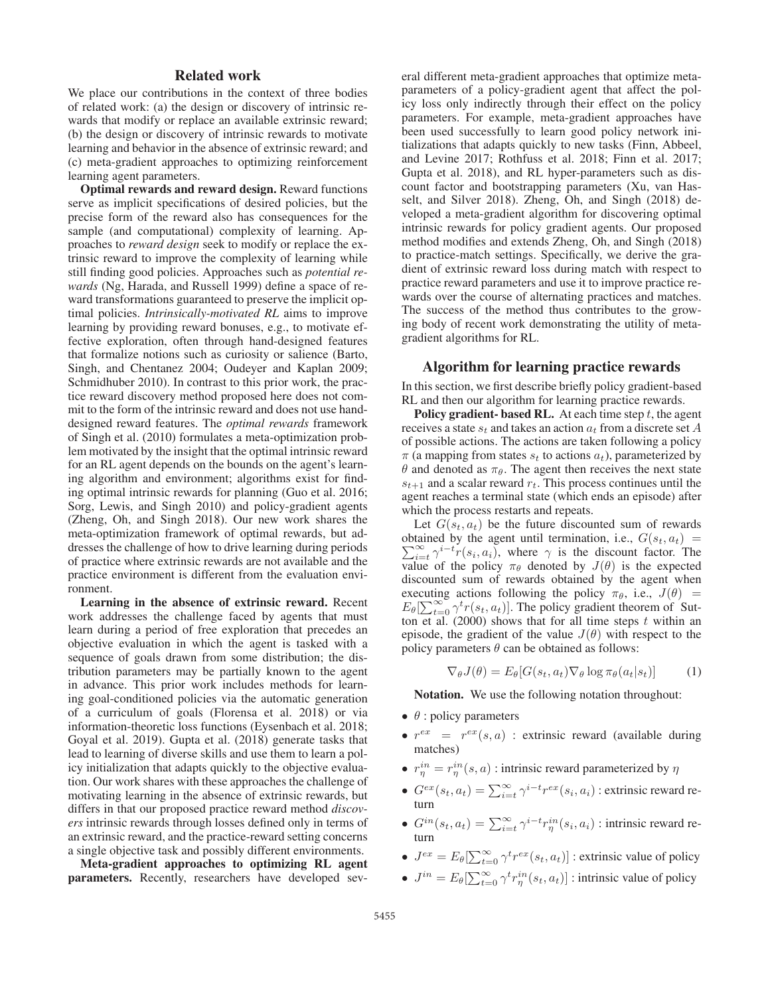## Related work

We place our contributions in the context of three bodies of related work: (a) the design or discovery of intrinsic rewards that modify or replace an available extrinsic reward; (b) the design or discovery of intrinsic rewards to motivate learning and behavior in the absence of extrinsic reward; and (c) meta-gradient approaches to optimizing reinforcement learning agent parameters.

Optimal rewards and reward design. Reward functions serve as implicit specifications of desired policies, but the precise form of the reward also has consequences for the sample (and computational) complexity of learning. Approaches to *reward design* seek to modify or replace the extrinsic reward to improve the complexity of learning while still finding good policies. Approaches such as *potential rewards* (Ng, Harada, and Russell 1999) define a space of reward transformations guaranteed to preserve the implicit optimal policies. *Intrinsically-motivated RL* aims to improve learning by providing reward bonuses, e.g., to motivate effective exploration, often through hand-designed features that formalize notions such as curiosity or salience (Barto, Singh, and Chentanez 2004; Oudeyer and Kaplan 2009; Schmidhuber 2010). In contrast to this prior work, the practice reward discovery method proposed here does not commit to the form of the intrinsic reward and does not use handdesigned reward features. The *optimal rewards* framework of Singh et al. (2010) formulates a meta-optimization problem motivated by the insight that the optimal intrinsic reward for an RL agent depends on the bounds on the agent's learning algorithm and environment; algorithms exist for finding optimal intrinsic rewards for planning (Guo et al. 2016; Sorg, Lewis, and Singh 2010) and policy-gradient agents (Zheng, Oh, and Singh 2018). Our new work shares the meta-optimization framework of optimal rewards, but addresses the challenge of how to drive learning during periods of practice where extrinsic rewards are not available and the practice environment is different from the evaluation environment.

Learning in the absence of extrinsic reward. Recent work addresses the challenge faced by agents that must learn during a period of free exploration that precedes an objective evaluation in which the agent is tasked with a sequence of goals drawn from some distribution; the distribution parameters may be partially known to the agent in advance. This prior work includes methods for learning goal-conditioned policies via the automatic generation of a curriculum of goals (Florensa et al. 2018) or via information-theoretic loss functions (Eysenbach et al. 2018; Goyal et al. 2019). Gupta et al. (2018) generate tasks that lead to learning of diverse skills and use them to learn a policy initialization that adapts quickly to the objective evaluation. Our work shares with these approaches the challenge of motivating learning in the absence of extrinsic rewards, but differs in that our proposed practice reward method *discovers* intrinsic rewards through losses defined only in terms of an extrinsic reward, and the practice-reward setting concerns a single objective task and possibly different environments.

Meta-gradient approaches to optimizing RL agent parameters. Recently, researchers have developed several different meta-gradient approaches that optimize metaparameters of a policy-gradient agent that affect the policy loss only indirectly through their effect on the policy parameters. For example, meta-gradient approaches have been used successfully to learn good policy network initializations that adapts quickly to new tasks (Finn, Abbeel, and Levine 2017; Rothfuss et al. 2018; Finn et al. 2017; Gupta et al. 2018), and RL hyper-parameters such as discount factor and bootstrapping parameters (Xu, van Hasselt, and Silver 2018). Zheng, Oh, and Singh (2018) developed a meta-gradient algorithm for discovering optimal intrinsic rewards for policy gradient agents. Our proposed method modifies and extends Zheng, Oh, and Singh (2018) to practice-match settings. Specifically, we derive the gradient of extrinsic reward loss during match with respect to practice reward parameters and use it to improve practice rewards over the course of alternating practices and matches. The success of the method thus contributes to the growing body of recent work demonstrating the utility of metagradient algorithms for RL.

#### Algorithm for learning practice rewards

In this section, we first describe briefly policy gradient-based RL and then our algorithm for learning practice rewards.

**Policy gradient- based RL.** At each time step  $t$ , the agent receives a state  $s_t$  and takes an action  $a_t$  from a discrete set A of possible actions. The actions are taken following a policy  $\pi$  (a mapping from states  $s_t$  to actions  $a_t$ ), parameterized by θ and denoted as  $πθ$ . The agent then receives the next state  $s_{t+1}$  and a scalar reward  $r_t$ . This process continues until the agent reaches a terminal state (which ends an episode) after which the process restarts and repeats.

Let  $G(s_t, a_t)$  be the future discounted sum of rewards obtained by the agent until termination, i.e.,  $G(s_t, a_t) = \sum_{\alpha}^{\infty} \gamma^{i-t} r(s_t, a_t)$  where  $\gamma$  is the discount factor. The  $\sum_{i=t}^{\infty} \gamma^{i-t} r(s_i, a_i)$ , where  $\gamma$  is the discount factor. The value of the policy  $\pi_{\alpha}$  denoted by  $J(\theta)$  is the expected value of the policy  $\pi_{\theta}$  denoted by  $J(\theta)$  is the expected discounted sum of rewards obtained by the agent when executing actions following the policy  $\pi_{\theta}$ , i.e.,  $J(\theta)$  =  $E_{\theta}[\sum_{t=0}^{\infty} \gamma^{t} r(s_t, a_t)]$ . The policy gradient theorem of Sut-<br>ton et al. (2000) shows that for all time steps t within an ton et al. (2000) shows that for all time steps  $t$  within an episode, the gradient of the value  $J(\theta)$  with respect to the policy parameters  $\theta$  can be obtained as follows:

$$
\nabla_{\theta} J(\theta) = E_{\theta}[G(s_t, a_t) \nabla_{\theta} \log \pi_{\theta}(a_t|s_t)] \tag{1}
$$

Notation. We use the following notation throughout:

- $\bullet$   $\theta$  : policy parameters
- $r^{ex} = r^{ex}(s, a)$  : extrinsic reward (available during matches)
- $r_{\eta}^{in} = r_{\eta}^{in}(s, a)$ : intrinsic reward parameterized by  $\eta$
- $G^{ex}(s_t, a_t) = \sum_{i=t}^{\infty} \gamma^{i-t} r^{ex}(s_i, a_i)$ : extrinsic reward return
- $G^{in}(s_t, a_t) = \sum_{i=t}^{\infty} \gamma^{i-t} r_{\eta}^{in}(s_i, a_i)$ : intrinsic reward return turn
- $J^{ex} = E_{\theta} \left[ \sum_{t=0}^{\infty} \gamma^t r^{ex}(s_t, a_t) \right]$ : extrinsic value of policy
- $J^{in} = E_{\theta}[\sum_{t=0}^{\infty} \gamma^t r^{in}_{\eta}(s_t, a_t)]$ : intrinsic value of policy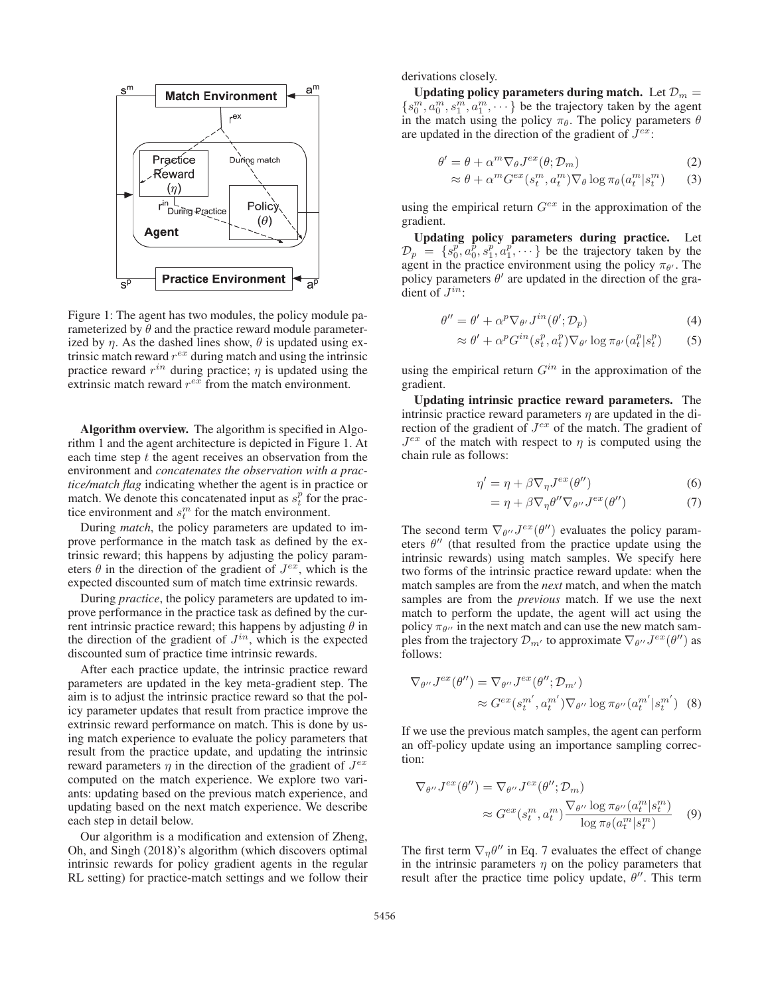

Figure 1: The agent has two modules, the policy module parameterized by  $\hat{\theta}$  and the practice reward module parameterized by  $\eta$ . As the dashed lines show,  $\theta$  is updated using extrinsic match reward  $r^{ex}$  during match and using the intrinsic practice reward  $r^{in}$  during practice;  $\eta$  is updated using the extrinsic match reward  $r^{e\bar{x}}$  from the match environment.

Algorithm overview. The algorithm is specified in Algorithm 1 and the agent architecture is depicted in Figure 1. At each time step  $t$  the agent receives an observation from the environment and *concatenates the observation with a practice/match flag* indicating whether the agent is in practice or match. We denote this concatenated input as  $s_t^p$  for the practice environment and  $s_t^m$  for the match environment.

During *match*, the policy parameters are updated to improve performance in the match task as defined by the extrinsic reward; this happens by adjusting the policy parameters  $\theta$  in the direction of the gradient of  $J^{ex}$ , which is the expected discounted sum of match time extrinsic rewards.

During *practice*, the policy parameters are updated to improve performance in the practice task as defined by the current intrinsic practice reward; this happens by adjusting  $\theta$  in the direction of the gradient of  $J^{in}$ , which is the expected discounted sum of practice time intrinsic rewards.

After each practice update, the intrinsic practice reward parameters are updated in the key meta-gradient step. The aim is to adjust the intrinsic practice reward so that the policy parameter updates that result from practice improve the extrinsic reward performance on match. This is done by using match experience to evaluate the policy parameters that result from the practice update, and updating the intrinsic reward parameters  $\eta$  in the direction of the gradient of  $J^{ex}$ computed on the match experience. We explore two variants: updating based on the previous match experience, and updating based on the next match experience. We describe each step in detail below.

Our algorithm is a modification and extension of Zheng, Oh, and Singh (2018)'s algorithm (which discovers optimal intrinsic rewards for policy gradient agents in the regular RL setting) for practice-match settings and we follow their derivations closely.

Updating policy parameters during match. Let  $\mathcal{D}_m =$  ${s_0^m, a_0^m, s_1^m, a_1^m, \dots}$  be the trajectory taken by the agent in the match using the policy  $\pi_{\theta}$ . The policy parameters  $\theta$ are updated in the direction of the gradient of  $J^{ex}$ :

$$
\theta' = \theta + \alpha^m \nabla_{\theta} J^{ex}(\theta; \mathcal{D}_m)
$$
\n(2)

$$
\approx \theta + \alpha^m G^{ex}(s_t^m, a_t^m) \nabla_{\theta} \log \pi_{\theta}(a_t^m | s_t^m)
$$
 (3)

using the empirical return  $G^{ex}$  in the approximation of the gradient.

Updating policy parameters during practice. Let  $\mathcal{D}_p = \{s_0^p, a_0^p, s_1^p, a_1^p, \cdots\}$  be the trajectory taken by the agent in the practice environment using the policy  $\pi_{\theta}$ . The agent in the practice environment using the policy  $\pi_{\theta}$ . The policy parameters  $\theta'$  are updated in the direction of the gradient of  $J^{in}$ :

$$
\theta'' = \theta' + \alpha^p \nabla_{\theta'} J^{in}(\theta'; \mathcal{D}_p)
$$
\n(4)

$$
\approx \theta' + \alpha^p G^{in}(s_t^p, a_t^p) \nabla_{\theta'} \log \pi_{\theta'}(a_t^p | s_t^p)
$$
 (5)

using the empirical return  $G^{in}$  in the approximation of the gradient.

Updating intrinsic practice reward parameters. The intrinsic practice reward parameters  $\eta$  are updated in the direction of the gradient of  $J^{ex}$  of the match. The gradient of  $J^{ex}$  of the match with respect to  $\eta$  is computed using the chain rule as follows:

$$
\eta' = \eta + \beta \nabla_{\eta} J^{ex}(\theta'')
$$
\n(6)

$$
= \eta + \beta \nabla_{\eta} \theta'' \nabla_{\theta''} J^{ex}(\theta'')
$$
 (7)

The second term  $\nabla_{\theta''} J^{ex}(\theta'')$  evaluates the policy parameters  $\theta''$  (that resulted from the practice undate using the eters  $\theta''$  (that resulted from the practice update using the intrinsic rewards) using match samples. We specify here two forms of the intrinsic practice reward update: when the match samples are from the *next* match, and when the match samples are from the *previous* match. If we use the next match to perform the update, the agent will act using the policy  $\pi_{\theta}$ <sup>*i*</sup> in the next match and can use the new match samples from the trajectory  $\mathcal{D}_{m'}$  to approximate  $\nabla_{\theta''} J^{ex}(\theta'')$  as follows: follows:

$$
\nabla_{\theta''} J^{ex}(\theta'') = \nabla_{\theta''} J^{ex}(\theta''; \mathcal{D}_{m'})
$$
  
 
$$
\approx G^{ex}(s_t^{m'}, a_t^{m'}) \nabla_{\theta''} \log \pi_{\theta''}(a_t^{m'} | s_t^{m'})
$$
 (8)

If we use the previous match samples, the agent can perform an off-policy update using an importance sampling correction:

$$
\nabla_{\theta''} J^{ex}(\theta'') = \nabla_{\theta''} J^{ex}(\theta''; \mathcal{D}_m)
$$
  
 
$$
\approx G^{ex}(s_t^m, a_t^m) \frac{\nabla_{\theta''} \log \pi_{\theta''}(a_t^m | s_t^m)}{\log \pi_{\theta}(a_t^m | s_t^m)}
$$
(9)

The first term  $\nabla_n \theta''$  in Eq. 7 evaluates the effect of change in the intrinsic parameters  $\eta$  on the policy parameters that result after the practice time policy update,  $\theta''$ . This term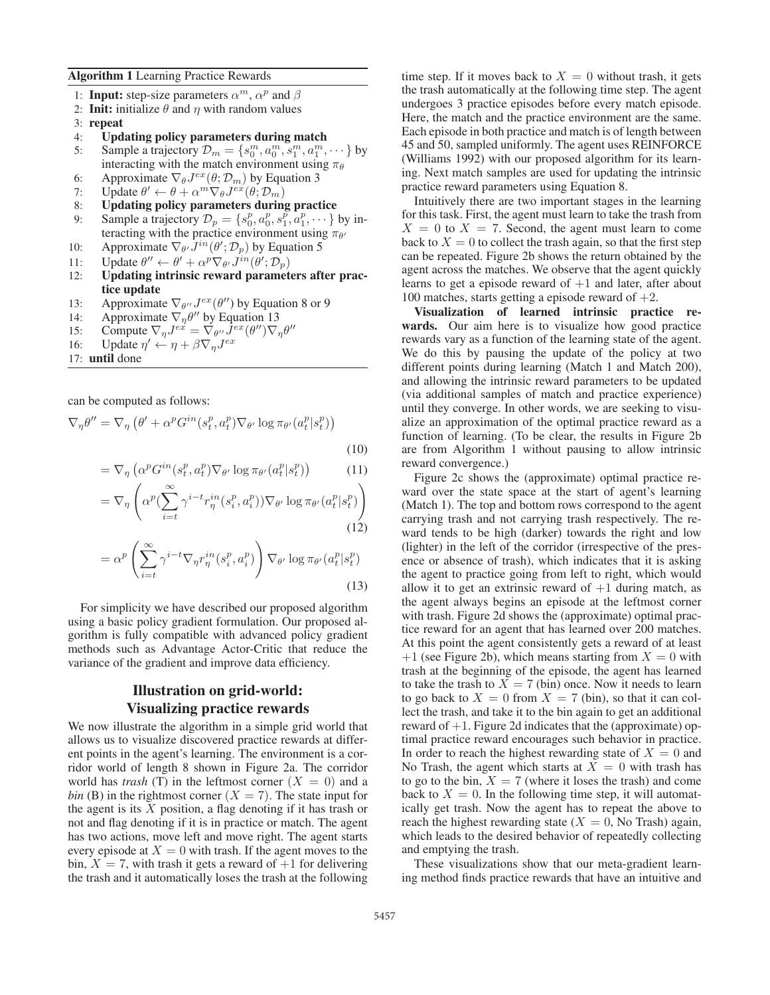#### Algorithm 1 Learning Practice Rewards

- 1: **Input:** step-size parameters  $\alpha^m$ ,  $\alpha^p$  and  $\beta$
- 2: **Init:** initialize  $\theta$  and  $\eta$  with random values
- 3: repeat
- 4: Updating policy parameters during match
- 5: Sample a trajectory  $\mathcal{D}_m = \{s_0^m, a_0^m, s_1^m, a_1^m, \dots\}$  by interacting with the match environment using  $\pi_0$ interacting with the match environment using  $\pi_{\theta}$
- 6: Approximate  $\nabla_{\theta} J^{ex}(\theta; \mathcal{D}_m)$  by Equation 3<br>7: Update  $\theta' \leftarrow \theta + \alpha^m \nabla_{\theta} J^{ex}(\theta; \mathcal{D}_m)$
- 7: Update  $\theta' \leftarrow \theta + \alpha^m \nabla_{\theta} J^{ex}(\theta; \mathcal{D}_m)$ <br>8: Updating policy parameters during
- Updating policy parameters during practice
- 9: Sample a trajectory  $\mathcal{D}_p = \{s_p^p, a_p^p, s_1^p, a_1^p, \dots\}$  by interacting with the practice environment using  $\pi_{\alpha}$ teracting with the practice environment using  $\pi_{\theta}$
- 10: Approximate  $\nabla_{\theta} \overline{J}^{in}(\theta'; \mathcal{D}_p)$  by Equation 5
- 11: Update  $\theta'' \leftarrow \theta' + \alpha^p \nabla_{\theta'} J^{in}(\theta'; \mathcal{D}_p)$ <br>12: Undating intrinsic reward paramet
- 12: Updating intrinsic reward parameters after practice update
- 13: Approximate  $\nabla_{\theta''} J^{ex}(\theta'')$  by Equation 8 or 9<br>14: Approximate  $\nabla_{\theta} \theta''$  by Equation 13
- 
- 14: Approximate  $\nabla_{\eta} \theta''$  by Equation 13<br>15: Compute  $\nabla_{\eta} J^{ex} = \nabla_{\theta''} J^{ex} (\theta'') \nabla_{\eta''}$ 15: Compute  $\nabla_{\eta} J^{e\dot{x}} = \nabla_{\theta''} \bar{J}^{e\dot{x}} (\theta'') \nabla_{\eta} \theta''$ <br>
16: Undate  $\eta' \leftarrow \eta + \beta \nabla_{\eta} J^{e\dot{x}}$
- 16: Update  $\eta' \leftarrow \eta + \beta \nabla_{\eta} J^{ex}$
- 17: until done

can be computed as follows:

$$
\nabla_{\eta} \theta'' = \nabla_{\eta} \left( \theta' + \alpha^p G^{in}(s_t^p, a_t^p) \nabla_{\theta'} \log \pi_{\theta'} (a_t^p | s_t^p) \right)
$$

(10)

$$
= \nabla_{\eta} \left( \alpha^p G^{in}(s_t^p, a_t^p) \nabla_{\theta'} \log \pi_{\theta'} (a_t^p | s_t^p) \right) \tag{11}
$$

$$
= \nabla_{\eta} \left( \alpha^{p} \left( \sum_{i=t}^{\infty} \gamma^{i-t} r_{\eta}^{in}(s_{i}^{p}, a_{i}^{p}) \right) \nabla_{\theta'} \log \pi_{\theta'} (a_{t}^{p} | s_{t}^{p}) \right)
$$
\n(12)

$$
f_{\rm{max}}
$$

$$
= \alpha^p \left( \sum_{i=t}^{\infty} \gamma^{i-t} \nabla_{\eta} r_{\eta}^{in} (s_i^p, a_i^p) \right) \nabla_{\theta'} \log \pi_{\theta'} (a_t^p | s_t^p)
$$
\n(13)

For simplicity we have described our proposed algorithm using a basic policy gradient formulation. Our proposed algorithm is fully compatible with advanced policy gradient methods such as Advantage Actor-Critic that reduce the variance of the gradient and improve data efficiency.

## Illustration on grid-world: Visualizing practice rewards

We now illustrate the algorithm in a simple grid world that allows us to visualize discovered practice rewards at different points in the agent's learning. The environment is a corridor world of length 8 shown in Figure 2a. The corridor world has *trash* (T) in the leftmost corner  $(X = 0)$  and a *bin* (B) in the rightmost corner  $(X = 7)$ . The state input for the agent is its  $X$  position, a flag denoting if it has trash or not and flag denoting if it is in practice or match. The agent has two actions, move left and move right. The agent starts every episode at  $X = 0$  with trash. If the agent moves to the bin,  $X = 7$ , with trash it gets a reward of  $+1$  for delivering the trash and it automatically loses the trash at the following time step. If it moves back to  $X = 0$  without trash, it gets the trash automatically at the following time step. The agent undergoes 3 practice episodes before every match episode. Here, the match and the practice environment are the same. Each episode in both practice and match is of length between 45 and 50, sampled uniformly. The agent uses REINFORCE (Williams 1992) with our proposed algorithm for its learning. Next match samples are used for updating the intrinsic practice reward parameters using Equation 8.

Intuitively there are two important stages in the learning for this task. First, the agent must learn to take the trash from  $X = 0$  to  $X = 7$ . Second, the agent must learn to come back to  $X = 0$  to collect the trash again, so that the first step can be repeated. Figure 2b shows the return obtained by the agent across the matches. We observe that the agent quickly learns to get a episode reward of  $+1$  and later, after about 100 matches, starts getting a episode reward of  $+2$ .

Visualization of learned intrinsic practice rewards. Our aim here is to visualize how good practice rewards vary as a function of the learning state of the agent. We do this by pausing the update of the policy at two different points during learning (Match 1 and Match 200), and allowing the intrinsic reward parameters to be updated (via additional samples of match and practice experience) until they converge. In other words, we are seeking to visualize an approximation of the optimal practice reward as a function of learning. (To be clear, the results in Figure 2b are from Algorithm 1 without pausing to allow intrinsic reward convergence.)

Figure 2c shows the (approximate) optimal practice reward over the state space at the start of agent's learning (Match 1). The top and bottom rows correspond to the agent carrying trash and not carrying trash respectively. The reward tends to be high (darker) towards the right and low (lighter) in the left of the corridor (irrespective of the presence or absence of trash), which indicates that it is asking the agent to practice going from left to right, which would allow it to get an extrinsic reward of  $+1$  during match, as the agent always begins an episode at the leftmost corner with trash. Figure 2d shows the (approximate) optimal practice reward for an agent that has learned over 200 matches. At this point the agent consistently gets a reward of at least  $+1$  (see Figure 2b), which means starting from  $X = 0$  with trash at the beginning of the episode, the agent has learned to take the trash to  $X = 7$  (bin) once. Now it needs to learn to go back to  $X = 0$  from  $X = 7$  (bin), so that it can collect the trash, and take it to the bin again to get an additional reward of  $+1$ . Figure 2d indicates that the (approximate) optimal practice reward encourages such behavior in practice. In order to reach the highest rewarding state of  $X = 0$  and No Trash, the agent which starts at  $X = 0$  with trash has to go to the bin,  $X = 7$  (where it loses the trash) and come back to  $X = 0$ . In the following time step, it will automatically get trash. Now the agent has to repeat the above to reach the highest rewarding state ( $X = 0$ , No Trash) again, which leads to the desired behavior of repeatedly collecting and emptying the trash.

These visualizations show that our meta-gradient learning method finds practice rewards that have an intuitive and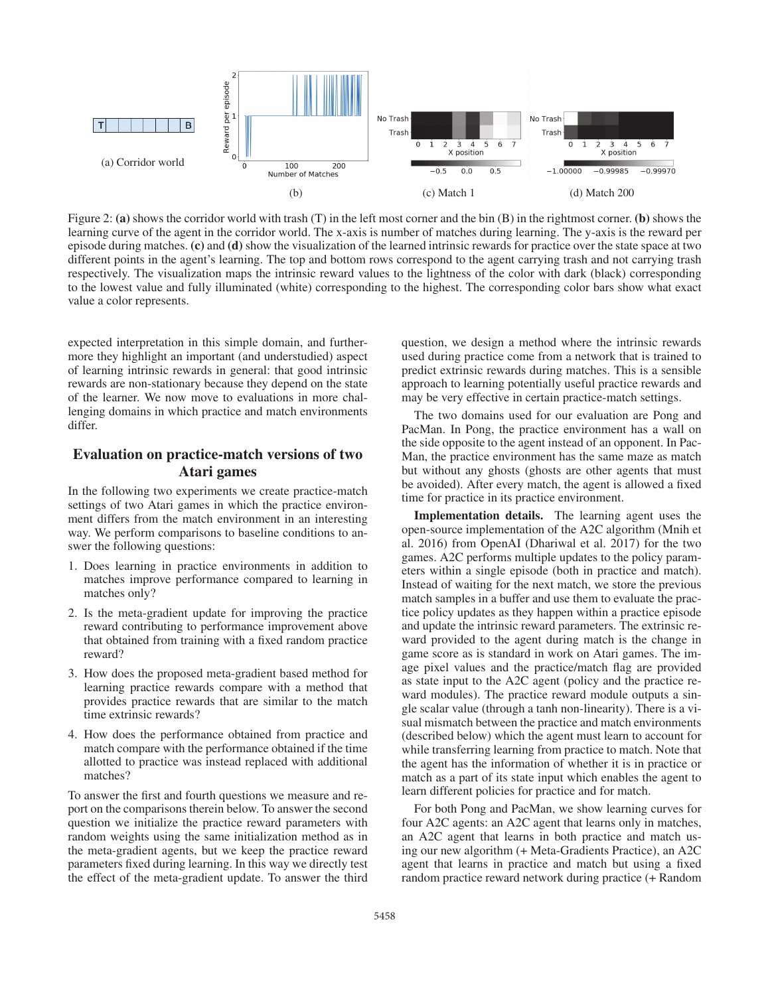

Figure 2: (a) shows the corridor world with trash (T) in the left most corner and the bin  $(B)$  in the rightmost corner. (b) shows the learning curve of the agent in the corridor world. The x-axis is number of matches during learning. The y-axis is the reward per episode during matches. (c) and (d) show the visualization of the learned intrinsic rewards for practice over the state space at two different points in the agent's learning. The top and bottom rows correspond to the agent carrying trash and not carrying trash respectively. The visualization maps the intrinsic reward values to the lightness of the color with dark (black) corresponding to the lowest value and fully illuminated (white) corresponding to the highest. The corresponding color bars show what exact value a color represents.

expected interpretation in this simple domain, and furthermore they highlight an important (and understudied) aspect of learning intrinsic rewards in general: that good intrinsic rewards are non-stationary because they depend on the state of the learner. We now move to evaluations in more challenging domains in which practice and match environments differ.

## Evaluation on practice-match versions of two Atari games

In the following two experiments we create practice-match settings of two Atari games in which the practice environment differs from the match environment in an interesting way. We perform comparisons to baseline conditions to answer the following questions:

- 1. Does learning in practice environments in addition to matches improve performance compared to learning in matches only?
- 2. Is the meta-gradient update for improving the practice reward contributing to performance improvement above that obtained from training with a fixed random practice reward?
- 3. How does the proposed meta-gradient based method for learning practice rewards compare with a method that provides practice rewards that are similar to the match time extrinsic rewards?
- 4. How does the performance obtained from practice and match compare with the performance obtained if the time allotted to practice was instead replaced with additional matches?

To answer the first and fourth questions we measure and report on the comparisons therein below. To answer the second question we initialize the practice reward parameters with random weights using the same initialization method as in the meta-gradient agents, but we keep the practice reward parameters fixed during learning. In this way we directly test the effect of the meta-gradient update. To answer the third

question, we design a method where the intrinsic rewards used during practice come from a network that is trained to predict extrinsic rewards during matches. This is a sensible approach to learning potentially useful practice rewards and may be very effective in certain practice-match settings.

The two domains used for our evaluation are Pong and PacMan. In Pong, the practice environment has a wall on the side opposite to the agent instead of an opponent. In Pac-Man, the practice environment has the same maze as match but without any ghosts (ghosts are other agents that must be avoided). After every match, the agent is allowed a fixed time for practice in its practice environment.

Implementation details. The learning agent uses the open-source implementation of the A2C algorithm (Mnih et al. 2016) from OpenAI (Dhariwal et al. 2017) for the two games. A2C performs multiple updates to the policy parameters within a single episode (both in practice and match). Instead of waiting for the next match, we store the previous match samples in a buffer and use them to evaluate the practice policy updates as they happen within a practice episode and update the intrinsic reward parameters. The extrinsic reward provided to the agent during match is the change in game score as is standard in work on Atari games. The image pixel values and the practice/match flag are provided as state input to the A2C agent (policy and the practice reward modules). The practice reward module outputs a single scalar value (through a tanh non-linearity). There is a visual mismatch between the practice and match environments (described below) which the agent must learn to account for while transferring learning from practice to match. Note that the agent has the information of whether it is in practice or match as a part of its state input which enables the agent to learn different policies for practice and for match.

For both Pong and PacMan, we show learning curves for four A2C agents: an A2C agent that learns only in matches, an A2C agent that learns in both practice and match using our new algorithm (+ Meta-Gradients Practice), an A2C agent that learns in practice and match but using a fixed random practice reward network during practice (+ Random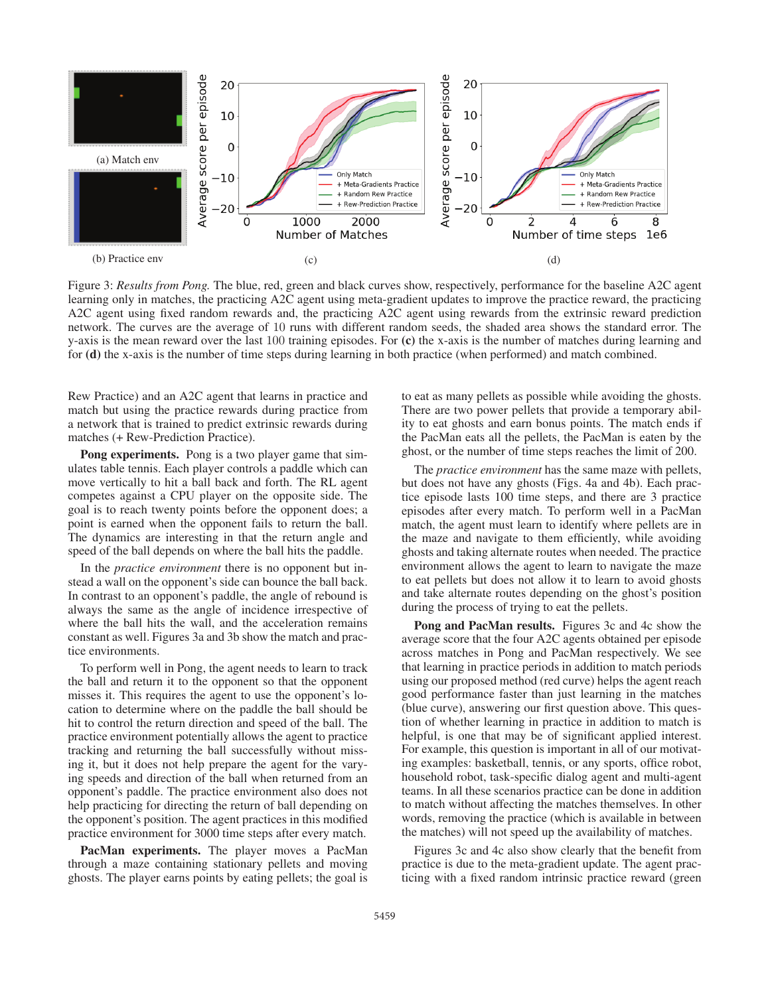

Figure 3: *Results from Pong.* The blue, red, green and black curves show, respectively, performance for the baseline A2C agent learning only in matches, the practicing A2C agent using meta-gradient updates to improve the practice reward, the practicing A2C agent using fixed random rewards and, the practicing A2C agent using rewards from the extrinsic reward prediction network. The curves are the average of 10 runs with different random seeds, the shaded area shows the standard error. The y-axis is the mean reward over the last 100 training episodes. For (c) the x-axis is the number of matches during learning and for (d) the x-axis is the number of time steps during learning in both practice (when performed) and match combined.

Rew Practice) and an A2C agent that learns in practice and match but using the practice rewards during practice from a network that is trained to predict extrinsic rewards during matches (+ Rew-Prediction Practice).

Pong experiments. Pong is a two player game that simulates table tennis. Each player controls a paddle which can move vertically to hit a ball back and forth. The RL agent competes against a CPU player on the opposite side. The goal is to reach twenty points before the opponent does; a point is earned when the opponent fails to return the ball. The dynamics are interesting in that the return angle and speed of the ball depends on where the ball hits the paddle.

In the *practice environment* there is no opponent but instead a wall on the opponent's side can bounce the ball back. In contrast to an opponent's paddle, the angle of rebound is always the same as the angle of incidence irrespective of where the ball hits the wall, and the acceleration remains constant as well. Figures 3a and 3b show the match and practice environments.

To perform well in Pong, the agent needs to learn to track the ball and return it to the opponent so that the opponent misses it. This requires the agent to use the opponent's location to determine where on the paddle the ball should be hit to control the return direction and speed of the ball. The practice environment potentially allows the agent to practice tracking and returning the ball successfully without missing it, but it does not help prepare the agent for the varying speeds and direction of the ball when returned from an opponent's paddle. The practice environment also does not help practicing for directing the return of ball depending on the opponent's position. The agent practices in this modified practice environment for 3000 time steps after every match.

PacMan experiments. The player moves a PacMan through a maze containing stationary pellets and moving ghosts. The player earns points by eating pellets; the goal is to eat as many pellets as possible while avoiding the ghosts. There are two power pellets that provide a temporary ability to eat ghosts and earn bonus points. The match ends if the PacMan eats all the pellets, the PacMan is eaten by the ghost, or the number of time steps reaches the limit of 200.

The *practice environment* has the same maze with pellets, but does not have any ghosts (Figs. 4a and 4b). Each practice episode lasts 100 time steps, and there are 3 practice episodes after every match. To perform well in a PacMan match, the agent must learn to identify where pellets are in the maze and navigate to them efficiently, while avoiding ghosts and taking alternate routes when needed. The practice environment allows the agent to learn to navigate the maze to eat pellets but does not allow it to learn to avoid ghosts and take alternate routes depending on the ghost's position during the process of trying to eat the pellets.

Pong and PacMan results. Figures 3c and 4c show the average score that the four A2C agents obtained per episode across matches in Pong and PacMan respectively. We see that learning in practice periods in addition to match periods using our proposed method (red curve) helps the agent reach good performance faster than just learning in the matches (blue curve), answering our first question above. This question of whether learning in practice in addition to match is helpful, is one that may be of significant applied interest. For example, this question is important in all of our motivating examples: basketball, tennis, or any sports, office robot, household robot, task-specific dialog agent and multi-agent teams. In all these scenarios practice can be done in addition to match without affecting the matches themselves. In other words, removing the practice (which is available in between the matches) will not speed up the availability of matches.

Figures 3c and 4c also show clearly that the benefit from practice is due to the meta-gradient update. The agent practicing with a fixed random intrinsic practice reward (green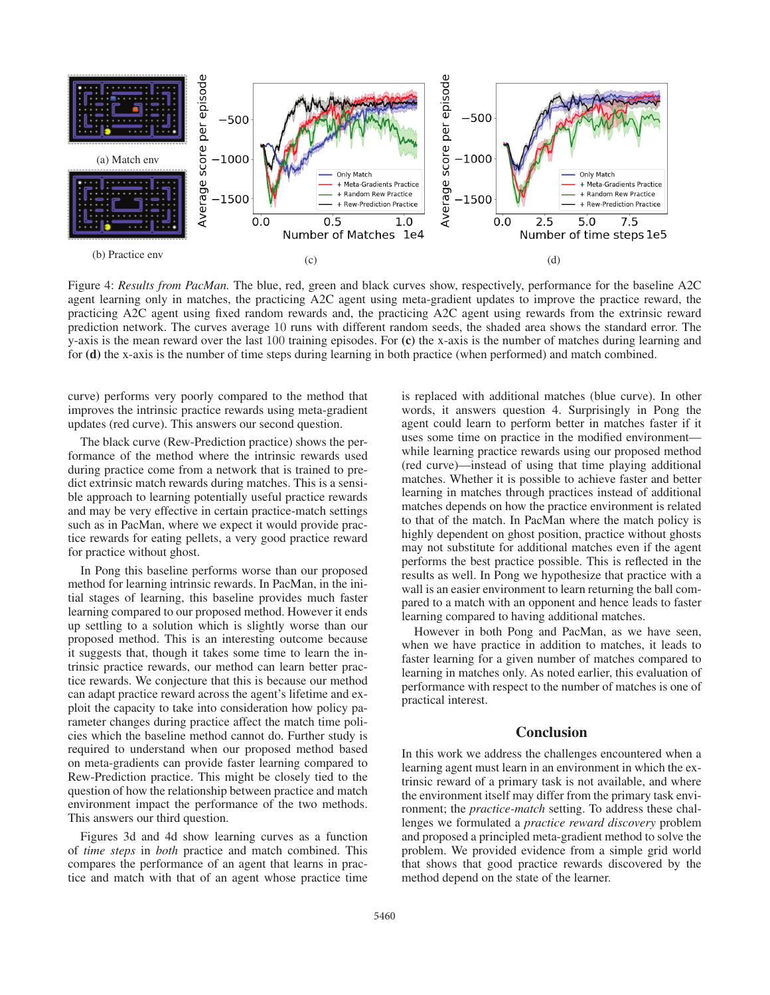

Figure 4: *Results from PacMan.* The blue, red, green and black curves show, respectively, performance for the baseline A2C agent learning only in matches, the practicing A2C agent using meta-gradient updates to improve the practice reward, the practicing A2C agent using fixed random rewards and, the practicing A2C agent using rewards from the extrinsic reward prediction network. The curves average 10 runs with different random seeds, the shaded area shows the standard error. The y-axis is the mean reward over the last 100 training episodes. For (c) the x-axis is the number of matches during learning and for (d) the x-axis is the number of time steps during learning in both practice (when performed) and match combined.

curve) performs very poorly compared to the method that improves the intrinsic practice rewards using meta-gradient updates (red curve). This answers our second question.

The black curve (Rew-Prediction practice) shows the performance of the method where the intrinsic rewards used during practice come from a network that is trained to predict extrinsic match rewards during matches. This is a sensible approach to learning potentially useful practice rewards and may be very effective in certain practice-match settings such as in PacMan, where we expect it would provide practice rewards for eating pellets, a very good practice reward for practice without ghost.

In Pong this baseline performs worse than our proposed method for learning intrinsic rewards. In PacMan, in the initial stages of learning, this baseline provides much faster learning compared to our proposed method. However it ends up settling to a solution which is slightly worse than our proposed method. This is an interesting outcome because it suggests that, though it takes some time to learn the intrinsic practice rewards, our method can learn better practice rewards. We conjecture that this is because our method can adapt practice reward across the agent's lifetime and exploit the capacity to take into consideration how policy parameter changes during practice affect the match time policies which the baseline method cannot do. Further study is required to understand when our proposed method based on meta-gradients can provide faster learning compared to Rew-Prediction practice. This might be closely tied to the question of how the relationship between practice and match environment impact the performance of the two methods. This answers our third question.

Figures 3d and 4d show learning curves as a function of *time steps* in *both* practice and match combined. This compares the performance of an agent that learns in practice and match with that of an agent whose practice time is replaced with additional matches (blue curve). In other words, it answers question 4. Surprisingly in Pong the agent could learn to perform better in matches faster if it uses some time on practice in the modified environment while learning practice rewards using our proposed method (red curve)—instead of using that time playing additional matches. Whether it is possible to achieve faster and better learning in matches through practices instead of additional matches depends on how the practice environment is related to that of the match. In PacMan where the match policy is highly dependent on ghost position, practice without ghosts may not substitute for additional matches even if the agent performs the best practice possible. This is reflected in the results as well. In Pong we hypothesize that practice with a wall is an easier environment to learn returning the ball compared to a match with an opponent and hence leads to faster learning compared to having additional matches.

However in both Pong and PacMan, as we have seen, when we have practice in addition to matches, it leads to faster learning for a given number of matches compared to learning in matches only. As noted earlier, this evaluation of performance with respect to the number of matches is one of practical interest.

### **Conclusion**

In this work we address the challenges encountered when a learning agent must learn in an environment in which the extrinsic reward of a primary task is not available, and where the environment itself may differ from the primary task environment; the *practice-match* setting. To address these challenges we formulated a *practice reward discovery* problem and proposed a principled meta-gradient method to solve the problem. We provided evidence from a simple grid world that shows that good practice rewards discovered by the method depend on the state of the learner.